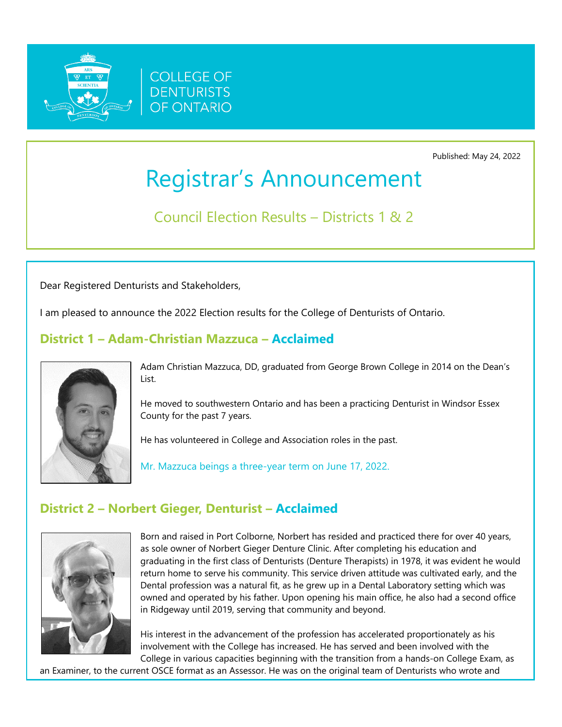

Published: May 24, 2022

# Registrar's Announcement

Council Election Results – Districts 1 & 2

Dear Registered Denturists and Stakeholders,

I am pleased to announce the 2022 Election results for the College of Denturists of Ontario.

### **District 1 – Adam-Christian Mazzuca – Acclaimed**



Adam Christian Mazzuca, DD, graduated from George Brown College in 2014 on the Dean's List.

He moved to southwestern Ontario and has been a practicing Denturist in Windsor Essex County for the past 7 years.

He has volunteered in College and Association roles in the past.

Mr. Mazzuca beings a three-year term on June 17, 2022.

## **District 2 – Norbert Gieger, Denturist – Acclaimed**



Born and raised in Port Colborne, Norbert has resided and practiced there for over 40 years, as sole owner of Norbert Gieger Denture Clinic. After completing his education and graduating in the first class of Denturists (Denture Therapists) in 1978, it was evident he would return home to serve his community. This service driven attitude was cultivated early, and the Dental profession was a natural fit, as he grew up in a Dental Laboratory setting which was owned and operated by his father. Upon opening his main office, he also had a second office in Ridgeway until 2019, serving that community and beyond.

His interest in the advancement of the profession has accelerated proportionately as his involvement with the College has increased. He has served and been involved with the College in various capacities beginning with the transition from a hands-on College Exam, as

an Examiner, to the current OSCE format as an Assessor. He was on the original team of Denturists who wrote and